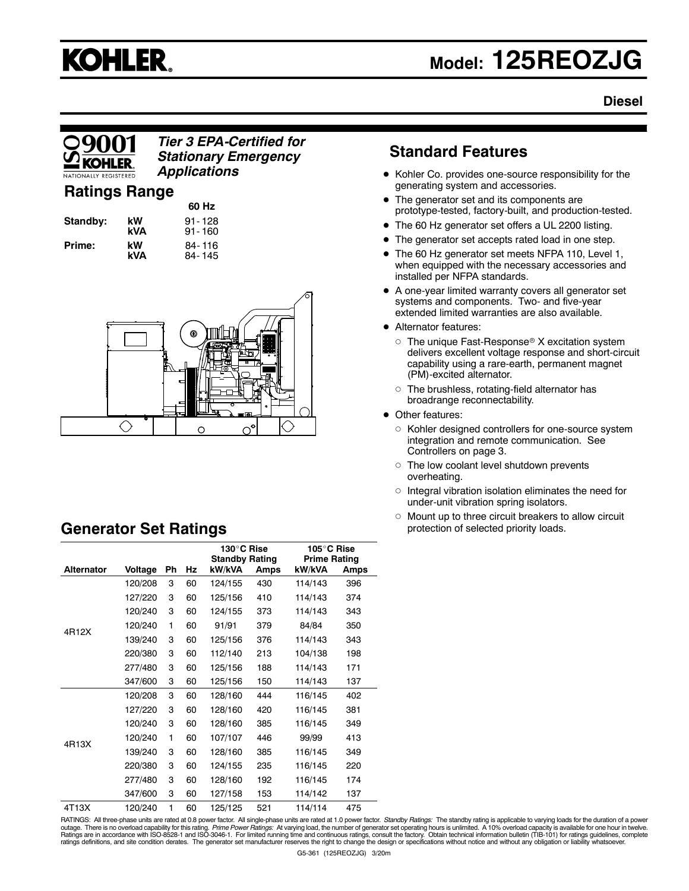# **KOHLER.**

## **Model: 125REOZJG**

## **Diesel**

## *Tier 3 EPA-Certified for Stationary Emergency Applications*

## **Ratings Range**

| Standby: | k<br>k |
|----------|--------|
| Prime:   | k      |

**60 Hz W 91-128**<br>**VA 91-160 kVA** 91- 160 **kW** 84-116<br>**kVA** 84-145 **kVA** 84- 145



## **Generator Set Ratings**

|                   |         |    |    | 130°C Rise<br><b>Standby Rating</b> |      | 105°C Rise<br><b>Prime Rating</b> |      |
|-------------------|---------|----|----|-------------------------------------|------|-----------------------------------|------|
| <b>Alternator</b> | Voltage | Ph | Hz | kW/kVA                              | Amps | kW/kVA                            | Amps |
|                   | 120/208 | 3  | 60 | 124/155                             | 430  | 114/143                           | 396  |
|                   | 127/220 | 3  | 60 | 125/156                             | 410  | 114/143                           | 374  |
|                   | 120/240 | 3  | 60 | 124/155                             | 373  | 114/143                           | 343  |
| 4R12X             | 120/240 | 1  | 60 | 91/91                               | 379  | 84/84                             | 350  |
|                   | 139/240 | 3  | 60 | 125/156                             | 376  | 114/143                           | 343  |
|                   | 220/380 | 3  | 60 | 112/140                             | 213  | 104/138                           | 198  |
|                   | 277/480 | 3  | 60 | 125/156                             | 188  | 114/143                           | 171  |
|                   | 347/600 | 3  | 60 | 125/156                             | 150  | 114/143                           | 137  |
|                   | 120/208 | 3  | 60 | 128/160                             | 444  | 116/145                           | 402  |
|                   | 127/220 | 3  | 60 | 128/160                             | 420  | 116/145                           | 381  |
|                   | 120/240 | 3  | 60 | 128/160                             | 385  | 116/145                           | 349  |
| 4R13X             | 120/240 | 1  | 60 | 107/107                             | 446  | 99/99                             | 413  |
|                   | 139/240 | 3  | 60 | 128/160                             | 385  | 116/145                           | 349  |
|                   | 220/380 | 3  | 60 | 124/155                             | 235  | 116/145                           | 220  |
|                   | 277/480 | 3  | 60 | 128/160                             | 192  | 116/145                           | 174  |
|                   | 347/600 | 3  | 60 | 127/158                             | 153  | 114/142                           | 137  |
| 4T13X             | 120/240 | 1  | 60 | 125/125                             | 521  | 114/114                           | 475  |

## **Standard Features**

- Kohler Co. provides one-source responsibility for the generating system and accessories.
- The generator set and its components are prototype-tested, factory-built, and production-tested.
- The 60 Hz generator set offers a UL 2200 listing.
- The generator set accepts rated load in one step.
- The 60 Hz generator set meets NFPA 110, Level 1, when equipped with the necessary accessories and installed per NFPA standards.
- $\bullet$  A one-year limited warranty covers all generator set systems and components. Two- and five-year extended limited warranties are also available.
- Alternator features:
	- $\circ$  The unique Fast-Response® X excitation system delivers excellent voltage response and short-circuit capability using a rare-earth, permanent magnet (PM)-excited alternator.
	- $\circ$  The brushless, rotating-field alternator has broadrange reconnectability.
- Other features:
	- $\circ$  Kohler designed controllers for one-source system integration and remote communication. See Controllers on page 3.
	- $\circ$  The low coolant level shutdown prevents overheating.
	- $\circ$  Integral vibration isolation eliminates the need for under-unit vibration spring isolators.
	- $\circ$  Mount up to three circuit breakers to allow circuit protection of selected priority loads.

RATINGS: All three-phase units are rated at 0.8 power factor. All single-phase units are rated at 1.0 power factor. *Standby Ratings:* The standby rating is applicable to varying loads for the duration of a power outage. There is no overload capability for this rating. *Prime Power Ratings: A*t varying load, the number of generator set operating hours is unlimited. A 10% overload capacity is available for one hour in twelve.<br>Rating ratings definitions, and site condition derates. The generator set manufacturer reserves the right to change the design or specifications without notice and without any obligation or liability whatsoever.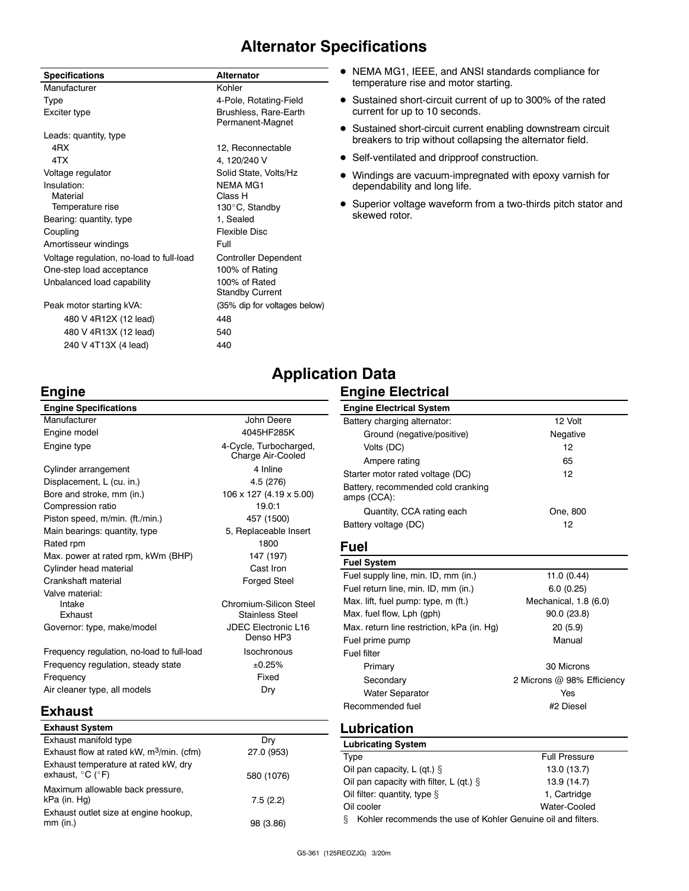## **Alternator Specifications**

| <b>Specifications</b>                    | <b>Alternator</b>                         |
|------------------------------------------|-------------------------------------------|
| Manufacturer                             | Kohler                                    |
| Type                                     | 4-Pole, Rotating-Field                    |
| Exciter type                             | Brushless, Rare-Earth<br>Permanent-Magnet |
| Leads: quantity, type                    |                                           |
| 4RX                                      | 12, Reconnectable                         |
| 4TX                                      | 4, 120/240 V                              |
| Voltage regulator                        | Solid State, Volts/Hz                     |
| Insulation:                              | <b>NEMA MG1</b>                           |
| Material                                 | Class H                                   |
| Temperature rise                         | 130°C, Standby                            |
| Bearing: quantity, type                  | 1, Sealed                                 |
| Coupling                                 | <b>Flexible Disc</b>                      |
| Amortisseur windings                     | Full                                      |
| Voltage regulation, no-load to full-load | <b>Controller Dependent</b>               |
| One-step load acceptance                 | 100% of Rating                            |
| Unbalanced load capability               | 100% of Rated                             |
|                                          | <b>Standby Current</b>                    |
| Peak motor starting kVA:                 | (35% dip for voltages below)              |
| 480 V 4R12X (12 lead)                    | 448                                       |
| 480 V 4R13X (12 lead)                    | 540                                       |
| 240 V 4T13X (4 lead)                     | 440                                       |

- NEMA MG1, IEEE, and ANSI standards compliance for temperature rise and motor starting.
- Sustained short-circuit current of up to 300% of the rated current for up to 10 seconds.
- Sustained short-circuit current enabling downstream circuit breakers to trip without collapsing the alternator field.
- Self-ventilated and dripproof construction.
- Windings are vacuum-impregnated with epoxy varnish for dependability and long life.
- Superior voltage waveform from a two-thirds pitch stator and skewed rotor.

## **Engine**

#### **Engine Specifications** Manufacturer **Manufacturer** John Deere Engine model **4045HF285K** Engine type **4-Cycle**, Turbocharged, Charge Air-Cooled Cylinder arrangement 4 Inline Displacement, L (cu. in.) 4.5 (276) Bore and stroke, mm (in.) 106 x 127 (4.19 x 5.00) Compression ratio 19.0:1 Piston speed, m/min. (ft./min.) 457 (1500) Main bearings: quantity, type 5, Replaceable Insert Rated rpm 1800 Max. power at rated rpm, kWm (BHP) 147 (197) Cylinder head material Cast Iron Crankshaft material example of the Forged Steel Valve material: Intake Chromium-Silicon Steel Exhaust **Exhaust** Stainless Steel Governor: type, make/model JDEC Electronic L16 Denso HP3 Frequency regulation, no-load to full-load Isochronous Frequency regulation, steady state  $\pm 0.25\%$ Frequency **Fixed** Air cleaner type, all models Dry

#### **Engine Electrical System** Battery charging alternator: 12 Volt Ground (negative/positive) Negative Volts (DC) 12 Ampere rating 65 Starter motor rated voltage (DC) 12 Battery, recommended cold cranking amps (CCA): Quantity, CCA rating each Cone, 800 Battery voltage (DC) 12

## **Fuel**

**Application Data**

**Engine Electrical**

| <b>Fuel System</b>                         |                            |
|--------------------------------------------|----------------------------|
| Fuel supply line, min. ID, mm (in.)        | 11.0 (0.44)                |
| Fuel return line, min. ID, mm (in.)        | 6.0(0.25)                  |
| Max. lift, fuel pump: type, m (ft.)        | Mechanical, 1.8 (6.0)      |
| Max. fuel flow, Lph (gph)                  | 90.0(23.8)                 |
| Max. return line restriction, kPa (in. Hg) | 20(5.9)                    |
| Fuel prime pump                            | Manual                     |
| Fuel filter                                |                            |
| Primary                                    | 30 Microns                 |
| Secondary                                  | 2 Microns @ 98% Efficiency |
| <b>Water Separator</b>                     | Yes                        |
| Recommended fuel                           | #2 Diesel                  |
|                                            |                            |

## **Exhaust**

| <b>Exhaust System</b>                                                         |            |
|-------------------------------------------------------------------------------|------------|
| Exhaust manifold type                                                         | Dry        |
| Exhaust flow at rated kW, m <sup>3</sup> /min. (cfm)                          | 27.0 (953) |
| Exhaust temperature at rated kW, dry<br>exhaust, $^{\circ}$ C ( $^{\circ}$ F) | 580 (1076) |
| Maximum allowable back pressure,<br>kPa (in. Hg)                              | 7.5(2.2)   |
| Exhaust outlet size at engine hookup,<br>$mm$ (in.)                           | 98 (3.86)  |

## **Lubrication**

| <b>Lubricating System</b>                                    |                      |
|--------------------------------------------------------------|----------------------|
| Type                                                         | <b>Full Pressure</b> |
| Oil pan capacity, $L$ (qt.) $\S$                             | 13.0 (13.7)          |
| Oil pan capacity with filter, L (qt.) $\S$                   | 13.9 (14.7)          |
| Oil filter: quantity, type $\S$                              | 1. Cartridge         |
| Oil cooler                                                   | Water-Cooled         |
| Kohler recommends the use of Kohler Genuine oil and filters. |                      |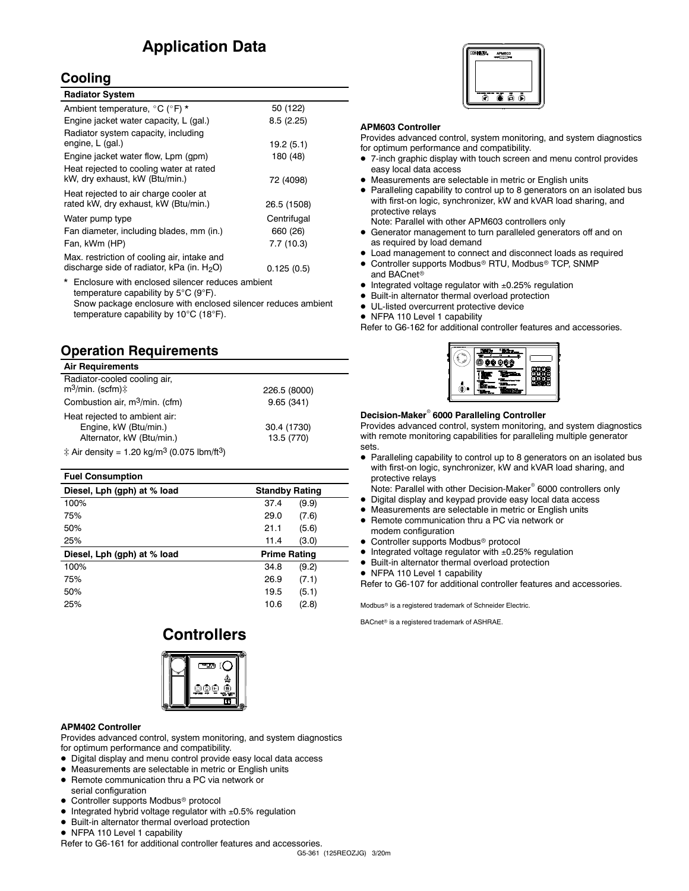## **Application Data**

## **Cooling**

| <b>Radiator System</b>                                                                       |             |
|----------------------------------------------------------------------------------------------|-------------|
| Ambient temperature, °C (°F) *                                                               | 50 (122)    |
| Engine jacket water capacity, L (gal.)                                                       | 8.5(2.25)   |
| Radiator system capacity, including<br>engine, L (gal.)                                      | 19.2(5.1)   |
| Engine jacket water flow, Lpm (gpm)                                                          | 180 (48)    |
| Heat rejected to cooling water at rated<br>kW, dry exhaust, kW (Btu/min.)                    | 72 (4098)   |
| Heat rejected to air charge cooler at<br>rated kW, dry exhaust, kW (Btu/min.)                | 26.5 (1508) |
| Water pump type                                                                              | Centrifugal |
| Fan diameter, including blades, mm (in.)                                                     | 660 (26)    |
| Fan, kWm (HP)                                                                                | 7.7(10.3)   |
| Max. restriction of cooling air, intake and<br>discharge side of radiator, kPa (in. $H_2O$ ) | 0.125(0.5)  |

\* Enclosure with enclosed silencer reduces ambient temperature capability by  $5^{\circ}C$  (9 $^{\circ}F$ ). Snow package enclosure with enclosed silencer reduces ambient temperature capability by  $10^{\circ}$ C (18 $^{\circ}$ F).

## **Operation Requirements**

| <b>Air Requirements</b>                                                             |                           |
|-------------------------------------------------------------------------------------|---------------------------|
| Radiator-cooled cooling air,<br>$m^3$ /min. (scfm) $\mp$                            | 226.5 (8000)              |
| Combustion air, m <sup>3</sup> /min. (cfm)                                          | 9.65(341)                 |
| Heat rejected to ambient air:<br>Engine, kW (Btu/min.)<br>Alternator, kW (Btu/min.) | 30.4 (1730)<br>13.5 (770) |
| $\ddagger$ Air density = 1.20 kg/m <sup>3</sup> (0.075 lbm/ft <sup>3</sup> )        |                           |

| <b>Standby Rating</b> |       |
|-----------------------|-------|
| 37.4                  | (9.9) |
| 29.0                  | (7.6) |
| 21.1                  | (5.6) |
| 11.4                  | (3.0) |
| <b>Prime Rating</b>   |       |
| 34.8                  | (9.2) |
| 26.9                  | (7.1) |
| 19.5                  | (5.1) |
| 10.6                  | (2.8) |
|                       |       |

## **Controllers**



#### **APM402 Controller**

Provides advanced control, system monitoring, and system diagnostics for optimum performance and compatibility.

- $\bullet$  Digital display and menu control provide easy local data access
- Measurements are selectable in metric or English units
- Remote communication thru a PC via network or serial configuration
- Controller supports Modbus<sup>®</sup> protocol
- $\bullet$  Integrated hybrid voltage regulator with  $\pm 0.5\%$  regulation
- $\bullet$  Built-in alternator thermal overload protection
- NFPA 110 Level 1 capability

Refer to G6-161 for additional controller features and accessories.



#### **APM603 Controller**

Provides advanced control, system monitoring, and system diagnostics for optimum performance and compatibility.

- $\bullet$  7-inch graphic display with touch screen and menu control provides easy local data access
- Measurements are selectable in metric or English units
- Paralleling capability to control up to 8 generators on an isolated bus with first-on logic, synchronizer, kW and kVAR load sharing, and protective relays

Note: Parallel with other APM603 controllers only

- Generator management to turn paralleled generators off and on as required by load demand
- Load management to connect and disconnect loads as required
- Controller supports Modbus® RTU, Modbus® TCP, SNMP and BACnet<sup>®</sup>
- Integrated voltage regulator with  $\pm 0.25\%$  regulation
- $\bullet$  Built-in alternator thermal overload protection
- $\bullet$  UL-listed overcurrent protective device
- NFPA 110 Level 1 capability

Refer to G6-162 for additional controller features and accessories.

| е<br>西區<br>٠ |  |
|--------------|--|
|              |  |

#### **Decision-Maker<sup>®</sup> 6000 Paralleling Controller**

Provides advanced control, system monitoring, and system diagnostics with remote monitoring capabilities for paralleling multiple generator sets.

• Paralleling capability to control up to 8 generators on an isolated bus with first-on logic, synchronizer, kW and kVAR load sharing, and protective relays

Note: Parallel with other Decision-Maker<sup>®</sup> 6000 controllers only

- Digital display and keypad provide easy local data access
- Measurements are selectable in metric or English units
- Remote communication thru a PC via network or modem configuration
- $\bullet$  Controller supports Modbus<sup>®</sup> protocol
- $\bullet$  Integrated voltage regulator with  $\pm 0.25\%$  regulation
- $\bullet$  Built-in alternator thermal overload protection
- NFPA 110 Level 1 capability

Refer to G6-107 for additional controller features and accessories.

Modbus<sup>®</sup> is a registered trademark of Schneider Electric.

BACnet<sup>®</sup> is a registered trademark of ASHRAE.